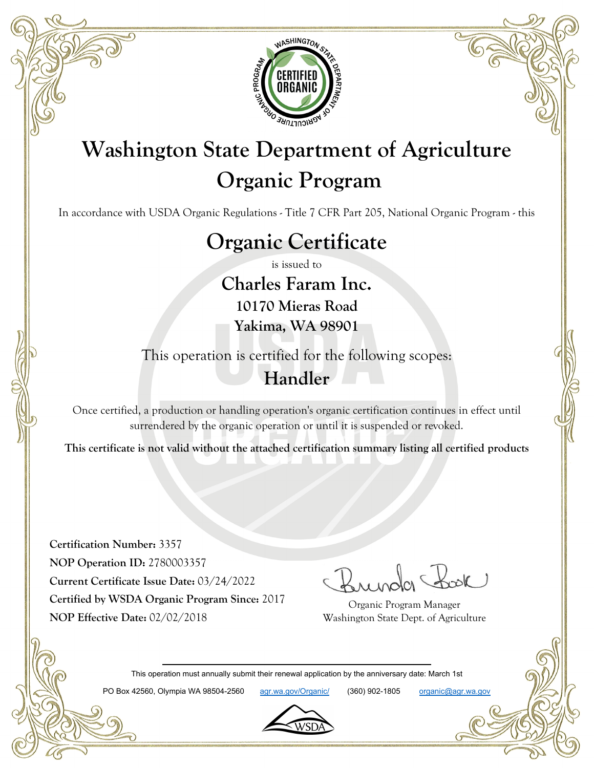

## **Washington State Department of Agriculture Organic Program**

In accordance with USDA Organic Regulations - Title 7 CFR Part 205, National Organic Program - this

## **Organic Certificate**

is issued to

**Charles Faram Inc. 10170 Mieras Road Yakima, WA 98901**

This operation is certified for the following scopes: **Handler**

Once certified, a production or handling operation's organic certification continues in effect until surrendered by the organic operation or until it is suspended or revoked.

**This certificate is not valid without the attached certification summary listing all certified products**

**Certification Number:** 3357 **NOP Operation ID:** 2780003357 **Current Certificate Issue Date:** 03/24/2022 **Certified by WSDA Organic Program Since:** 2017 **NOP Effective Date:** 02/02/2018

Organic Program Manager Washington State Dept. of Agriculture

This operation must annually submit their renewal application by the anniversary date: March 1st

PO Box 42560, Olympia WA 98504-2560 agr.wa.gov/Organic/ (360) 902-1805 organic@agr.wa.gov